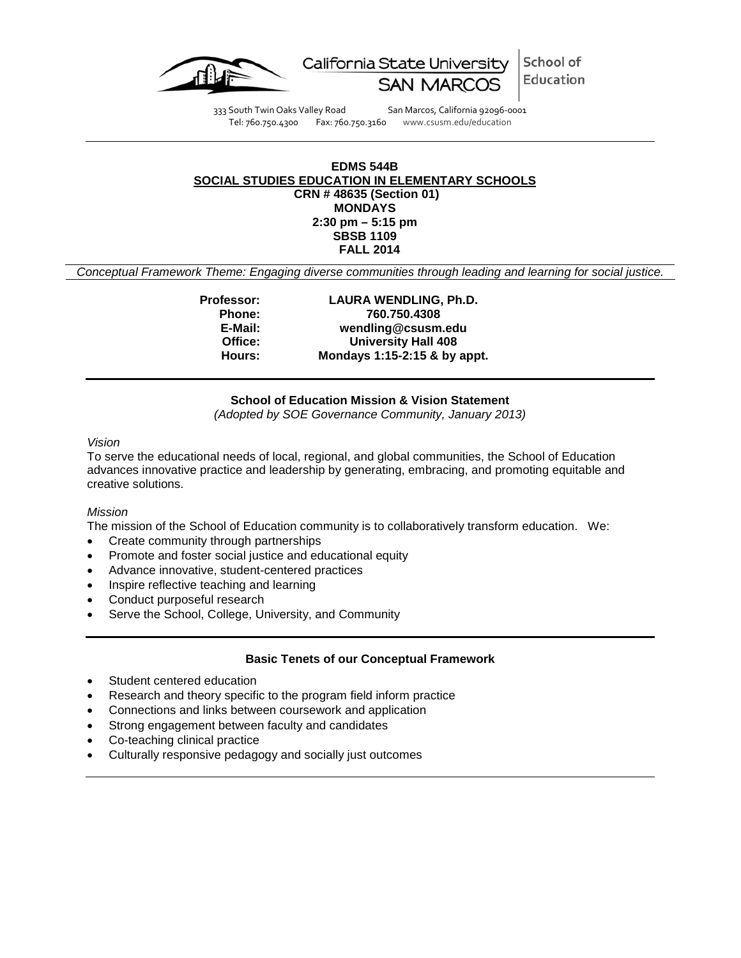

School of California State University Education

333 South Twin Oaks Valley Road San Marcos, California 92096-0001<br>Tel: 760.750.4300 Fax: 760.750.3160 www.csusm.edu/education

Fax: 760.750.3160 www.csusm.edu/education

### **EDMS 544B SOCIAL STUDIES EDUCATION IN ELEMENTARY SCHOOLS CRN # 48635 (Section 01) MONDAYS 2:30 pm – 5:15 pm SBSB 1109 FALL 2014**

*Conceptual Framework Theme: Engaging diverse communities through leading and learning for social justice.*

**Professor: LAURA WENDLING, Ph.D. Phone: 760.750.4308 E-Mail: wendling@csusm.edu Office: University Hall 408 Hours: Mondays 1:15-2:15 & by appt.**

**School of Education Mission & Vision Statement** *(Adopted by SOE Governance Community, January 2013)*

*Vision*

To serve the educational needs of local, regional, and global communities, the School of Education advances innovative practice and leadership by generating, embracing, and promoting equitable and creative solutions.

### *Mission*

The mission of the School of Education community is to collaboratively transform education. We:

- Create community through partnerships
- Promote and foster social justice and educational equity
- Advance innovative, student-centered practices
- Inspire reflective teaching and learning
- Conduct purposeful research
- Serve the School, College, University, and Community

### **Basic Tenets of our Conceptual Framework**

- Student centered education
- Research and theory specific to the program field inform practice
- Connections and links between coursework and application
- Strong engagement between faculty and candidates
- Co-teaching clinical practice
- Culturally responsive pedagogy and socially just outcomes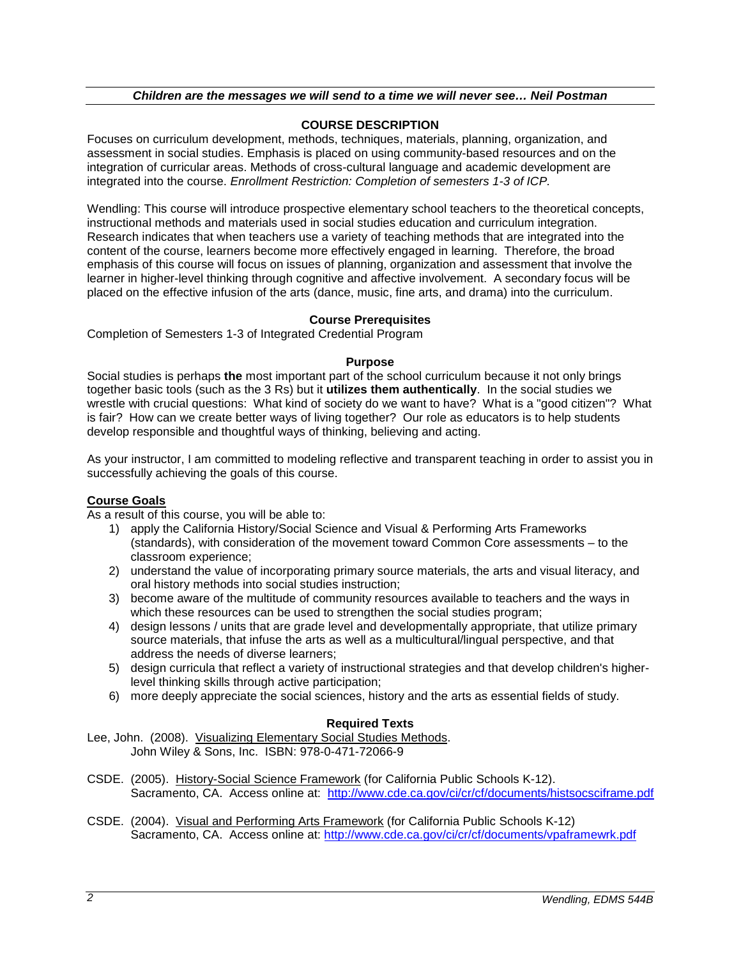# **COURSE DESCRIPTION**

Focuses on curriculum development, methods, techniques, materials, planning, organization, and assessment in social studies. Emphasis is placed on using community-based resources and on the integration of curricular areas. Methods of cross-cultural language and academic development are integrated into the course. *Enrollment Restriction: Completion of semesters 1-3 of ICP.*

Wendling: This course will introduce prospective elementary school teachers to the theoretical concepts, instructional methods and materials used in social studies education and curriculum integration. Research indicates that when teachers use a variety of teaching methods that are integrated into the content of the course, learners become more effectively engaged in learning. Therefore, the broad emphasis of this course will focus on issues of planning, organization and assessment that involve the learner in higher-level thinking through cognitive and affective involvement. A secondary focus will be placed on the effective infusion of the arts (dance, music, fine arts, and drama) into the curriculum.

# **Course Prerequisites**

Completion of Semesters 1-3 of Integrated Credential Program

### **Purpose**

Social studies is perhaps **the** most important part of the school curriculum because it not only brings together basic tools (such as the 3 Rs) but it **utilizes them authentically**. In the social studies we wrestle with crucial questions: What kind of society do we want to have? What is a "good citizen"? What is fair? How can we create better ways of living together? Our role as educators is to help students develop responsible and thoughtful ways of thinking, believing and acting.

As your instructor, I am committed to modeling reflective and transparent teaching in order to assist you in successfully achieving the goals of this course.

### **Course Goals**

As a result of this course, you will be able to:

- 1) apply the California History/Social Science and Visual & Performing Arts Frameworks (standards), with consideration of the movement toward Common Core assessments – to the classroom experience;
- 2) understand the value of incorporating primary source materials, the arts and visual literacy, and oral history methods into social studies instruction;
- 3) become aware of the multitude of community resources available to teachers and the ways in which these resources can be used to strengthen the social studies program;
- 4) design lessons / units that are grade level and developmentally appropriate, that utilize primary source materials, that infuse the arts as well as a multicultural/lingual perspective, and that address the needs of diverse learners;
- 5) design curricula that reflect a variety of instructional strategies and that develop children's higherlevel thinking skills through active participation;
- 6) more deeply appreciate the social sciences, history and the arts as essential fields of study.

# **Required Texts**

Lee, John. (2008). Visualizing Elementary Social Studies Methods. John Wiley & Sons, Inc. ISBN: 978-0-471-72066-9

- CSDE. (2005). History-Social Science Framework (for California Public Schools K-12). Sacramento, CA. Access online at: <http://www.cde.ca.gov/ci/cr/cf/documents/histsocsciframe.pdf>
- CSDE. (2004). Visual and Performing Arts Framework (for California Public Schools K-12) Sacramento, CA. Access online at:<http://www.cde.ca.gov/ci/cr/cf/documents/vpaframewrk.pdf>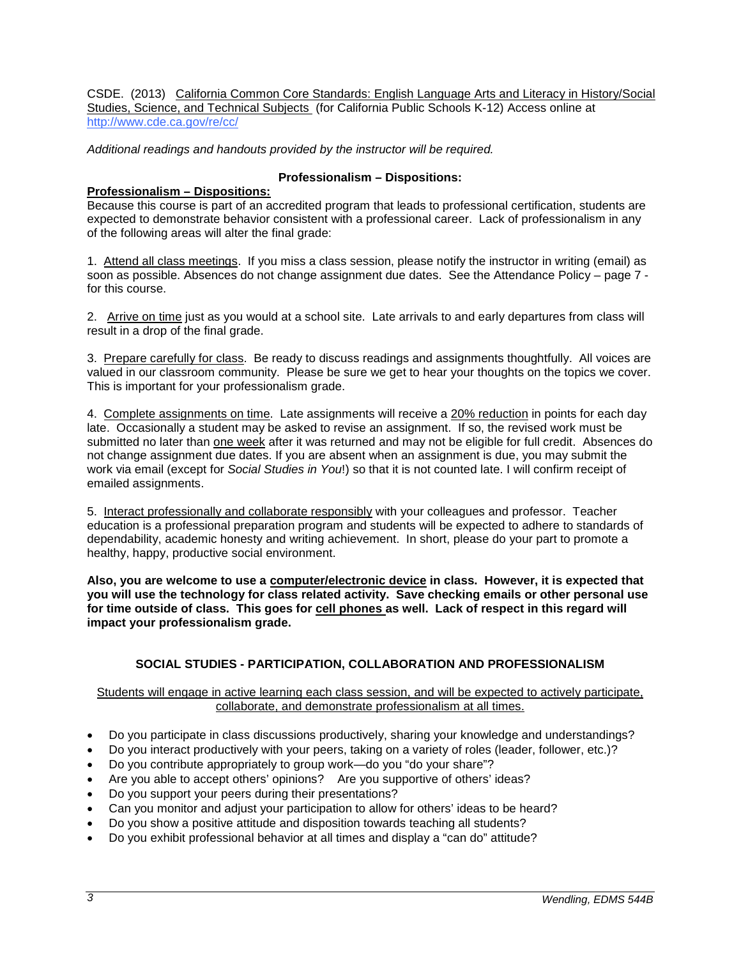CSDE. (2013) California Common Core Standards: English Language Arts and Literacy in History/Social Studies, Science, and Technical Subjects (for California Public Schools K-12) Access online at <http://www.cde.ca.gov/re/cc/>

*Additional readings and handouts provided by the instructor will be required.*

# **Professionalism – Dispositions:**

## **Professionalism – Dispositions:**

Because this course is part of an accredited program that leads to professional certification, students are expected to demonstrate behavior consistent with a professional career. Lack of professionalism in any of the following areas will alter the final grade:

1. Attend all class meetings. If you miss a class session, please notify the instructor in writing (email) as soon as possible. Absences do not change assignment due dates. See the Attendance Policy – page 7 for this course.

2. Arrive on time just as you would at a school site. Late arrivals to and early departures from class will result in a drop of the final grade.

3. Prepare carefully for class. Be ready to discuss readings and assignments thoughtfully. All voices are valued in our classroom community. Please be sure we get to hear your thoughts on the topics we cover. This is important for your professionalism grade.

4. Complete assignments on time. Late assignments will receive a 20% reduction in points for each day late. Occasionally a student may be asked to revise an assignment. If so, the revised work must be submitted no later than one week after it was returned and may not be eligible for full credit. Absences do not change assignment due dates. If you are absent when an assignment is due, you may submit the work via email (except for *Social Studies in You*!) so that it is not counted late. I will confirm receipt of emailed assignments.

5. Interact professionally and collaborate responsibly with your colleagues and professor. Teacher education is a professional preparation program and students will be expected to adhere to standards of dependability, academic honesty and writing achievement. In short, please do your part to promote a healthy, happy, productive social environment.

**Also, you are welcome to use a computer/electronic device in class. However, it is expected that you will use the technology for class related activity. Save checking emails or other personal use for time outside of class. This goes for cell phones as well. Lack of respect in this regard will impact your professionalism grade.**

# **SOCIAL STUDIES - PARTICIPATION, COLLABORATION AND PROFESSIONALISM**

Students will engage in active learning each class session, and will be expected to actively participate, collaborate, and demonstrate professionalism at all times.

- Do you participate in class discussions productively, sharing your knowledge and understandings?
- Do you interact productively with your peers, taking on a variety of roles (leader, follower, etc.)?
- Do you contribute appropriately to group work—do you "do your share"?
- Are you able to accept others' opinions? Are you supportive of others' ideas?
- Do you support your peers during their presentations?
- Can you monitor and adjust your participation to allow for others' ideas to be heard?
- Do you show a positive attitude and disposition towards teaching all students?
- Do you exhibit professional behavior at all times and display a "can do" attitude?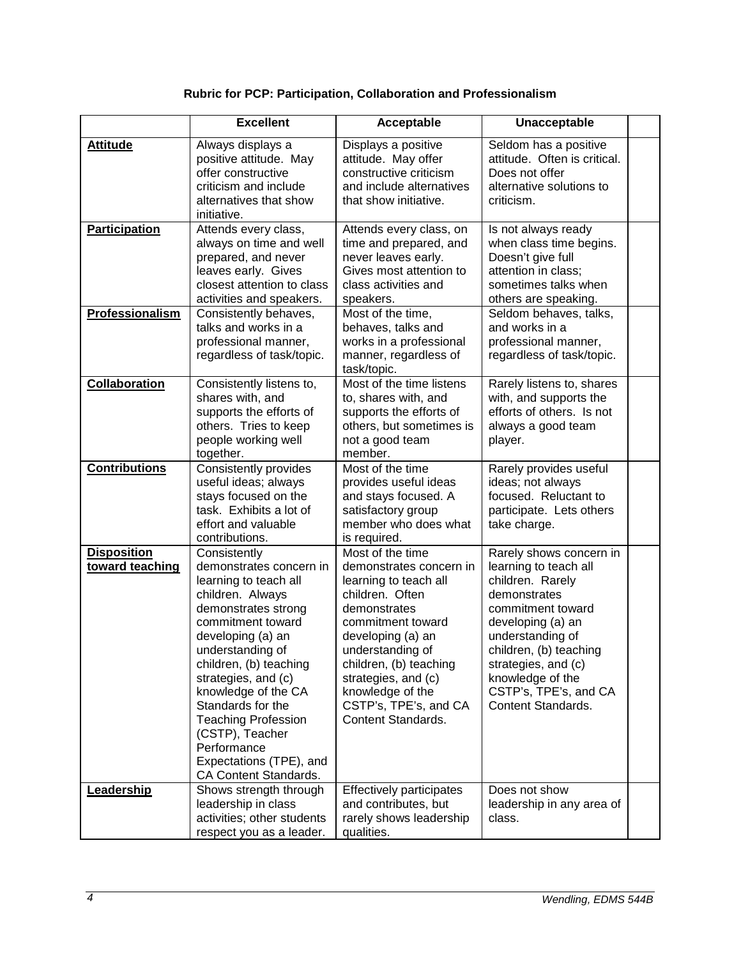# **Rubric for PCP: Participation, Collaboration and Professionalism**

|                                       | <b>Excellent</b>                                                                                                                                                                                                                                                                                                                                                                           | Acceptable                                                                                                                                                                                                                                                                                | Unacceptable                                                                                                                                                                                                                                                           |  |
|---------------------------------------|--------------------------------------------------------------------------------------------------------------------------------------------------------------------------------------------------------------------------------------------------------------------------------------------------------------------------------------------------------------------------------------------|-------------------------------------------------------------------------------------------------------------------------------------------------------------------------------------------------------------------------------------------------------------------------------------------|------------------------------------------------------------------------------------------------------------------------------------------------------------------------------------------------------------------------------------------------------------------------|--|
| <b>Attitude</b>                       | Always displays a<br>positive attitude. May<br>offer constructive<br>criticism and include<br>alternatives that show<br>initiative.                                                                                                                                                                                                                                                        | Displays a positive<br>attitude. May offer<br>constructive criticism<br>and include alternatives<br>that show initiative.                                                                                                                                                                 | Seldom has a positive<br>attitude. Often is critical.<br>Does not offer<br>alternative solutions to<br>criticism.                                                                                                                                                      |  |
| Participation                         | Attends every class,<br>always on time and well<br>prepared, and never<br>leaves early. Gives<br>closest attention to class<br>activities and speakers.                                                                                                                                                                                                                                    | Attends every class, on<br>time and prepared, and<br>never leaves early.<br>Gives most attention to<br>class activities and<br>speakers.                                                                                                                                                  | Is not always ready<br>when class time begins.<br>Doesn't give full<br>attention in class;<br>sometimes talks when<br>others are speaking.                                                                                                                             |  |
| Professionalism                       | Consistently behaves,<br>talks and works in a<br>professional manner,<br>regardless of task/topic.                                                                                                                                                                                                                                                                                         | Most of the time,<br>behaves, talks and<br>works in a professional<br>manner, regardless of<br>task/topic.                                                                                                                                                                                | Seldom behaves, talks,<br>and works in a<br>professional manner,<br>regardless of task/topic.                                                                                                                                                                          |  |
| <b>Collaboration</b>                  | Consistently listens to,<br>shares with, and<br>supports the efforts of<br>others. Tries to keep<br>people working well<br>together.                                                                                                                                                                                                                                                       | Most of the time listens<br>to, shares with, and<br>supports the efforts of<br>others, but sometimes is<br>not a good team<br>member.                                                                                                                                                     | Rarely listens to, shares<br>with, and supports the<br>efforts of others. Is not<br>always a good team<br>player.                                                                                                                                                      |  |
| <b>Contributions</b>                  | <b>Consistently provides</b><br>useful ideas; always<br>stays focused on the<br>task. Exhibits a lot of<br>effort and valuable<br>contributions.                                                                                                                                                                                                                                           | Most of the time<br>provides useful ideas<br>and stays focused. A<br>satisfactory group<br>member who does what<br>is required.                                                                                                                                                           | Rarely provides useful<br>ideas; not always<br>focused. Reluctant to<br>participate. Lets others<br>take charge.                                                                                                                                                       |  |
| <b>Disposition</b><br>toward teaching | Consistently<br>demonstrates concern in<br>learning to teach all<br>children. Always<br>demonstrates strong<br>commitment toward<br>developing (a) an<br>understanding of<br>children, (b) teaching<br>strategies, and (c)<br>knowledge of the CA<br>Standards for the<br><b>Teaching Profession</b><br>(CSTP), Teacher<br>Performance<br>Expectations (TPE), and<br>CA Content Standards. | Most of the time<br>demonstrates concern in<br>learning to teach all<br>children. Often<br>demonstrates<br>commitment toward<br>developing (a) an<br>understanding of<br>children, (b) teaching<br>strategies, and (c)<br>knowledge of the<br>CSTP's, TPE's, and CA<br>Content Standards. | Rarely shows concern in<br>learning to teach all<br>children. Rarely<br>demonstrates<br>commitment toward<br>developing (a) an<br>understanding of<br>children, (b) teaching<br>strategies, and (c)<br>knowledge of the<br>CSTP's, TPE's, and CA<br>Content Standards. |  |
| Leadership                            | Shows strength through<br>leadership in class<br>activities; other students<br>respect you as a leader.                                                                                                                                                                                                                                                                                    | <b>Effectively participates</b><br>and contributes, but<br>rarely shows leadership<br>qualities.                                                                                                                                                                                          | Does not show<br>leadership in any area of<br>class.                                                                                                                                                                                                                   |  |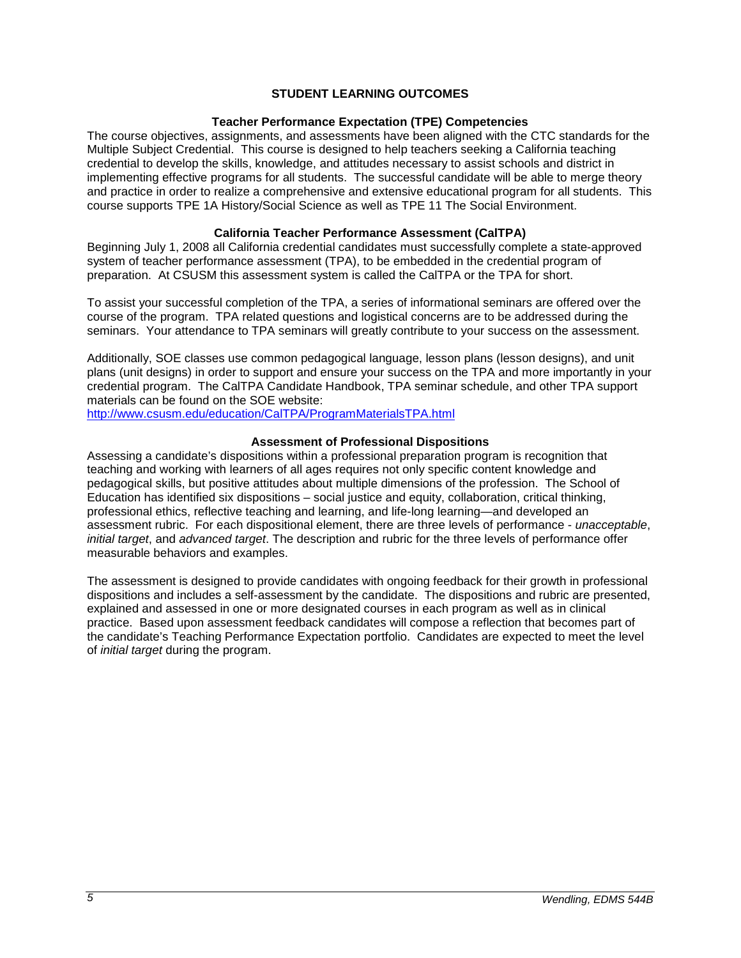# **STUDENT LEARNING OUTCOMES**

### **Teacher Performance Expectation (TPE) Competencies**

The course objectives, assignments, and assessments have been aligned with the CTC standards for the Multiple Subject Credential. This course is designed to help teachers seeking a California teaching credential to develop the skills, knowledge, and attitudes necessary to assist schools and district in implementing effective programs for all students. The successful candidate will be able to merge theory and practice in order to realize a comprehensive and extensive educational program for all students. This course supports TPE 1A History/Social Science as well as TPE 11 The Social Environment.

# **California Teacher Performance Assessment (CalTPA)**

Beginning July 1, 2008 all California credential candidates must successfully complete a state-approved system of teacher performance assessment (TPA), to be embedded in the credential program of preparation. At CSUSM this assessment system is called the CalTPA or the TPA for short.

To assist your successful completion of the TPA, a series of informational seminars are offered over the course of the program. TPA related questions and logistical concerns are to be addressed during the seminars. Your attendance to TPA seminars will greatly contribute to your success on the assessment.

Additionally, SOE classes use common pedagogical language, lesson plans (lesson designs), and unit plans (unit designs) in order to support and ensure your success on the TPA and more importantly in your credential program. The CalTPA Candidate Handbook, TPA seminar schedule, and other TPA support materials can be found on the SOE website:

<http://www.csusm.edu/education/CalTPA/ProgramMaterialsTPA.html>

### **Assessment of Professional Dispositions**

Assessing a candidate's dispositions within a professional preparation program is recognition that teaching and working with learners of all ages requires not only specific content knowledge and pedagogical skills, but positive attitudes about multiple dimensions of the profession. The School of Education has identified six dispositions – social justice and equity, collaboration, critical thinking, professional ethics, reflective teaching and learning, and life-long learning—and developed an assessment rubric. For each dispositional element, there are three levels of performance - *unacceptable*, *initial target*, and *advanced target*. The description and rubric for the three levels of performance offer measurable behaviors and examples.

The assessment is designed to provide candidates with ongoing feedback for their growth in professional dispositions and includes a self-assessment by the candidate. The dispositions and rubric are presented, explained and assessed in one or more designated courses in each program as well as in clinical practice. Based upon assessment feedback candidates will compose a reflection that becomes part of the candidate's Teaching Performance Expectation portfolio. Candidates are expected to meet the level of *initial target* during the program.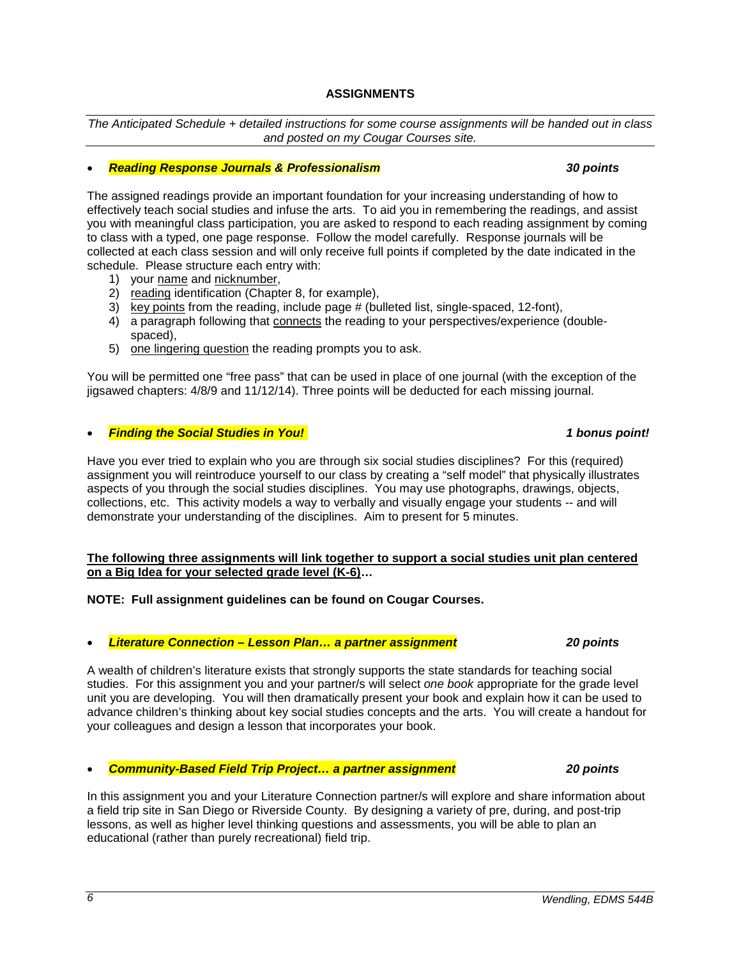# **ASSIGNMENTS**

*The Anticipated Schedule + detailed instructions for some course assignments will be handed out in class and posted on my Cougar Courses site.*

# • *Reading Response Journals & Professionalism 30 points*

The assigned readings provide an important foundation for your increasing understanding of how to effectively teach social studies and infuse the arts. To aid you in remembering the readings, and assist you with meaningful class participation, you are asked to respond to each reading assignment by coming to class with a typed, one page response. Follow the model carefully. Response journals will be collected at each class session and will only receive full points if completed by the date indicated in the schedule. Please structure each entry with:

- 1) your name and nicknumber,
- 2) reading identification (Chapter 8, for example),
- 3) key points from the reading, include page # (bulleted list, single-spaced, 12-font),
- 4) a paragraph following that connects the reading to your perspectives/experience (doublespaced),
- 5) one lingering question the reading prompts you to ask.

You will be permitted one "free pass" that can be used in place of one journal (with the exception of the jigsawed chapters: 4/8/9 and 11/12/14). Three points will be deducted for each missing journal.

# • *Finding the Social Studies in You! 1 bonus point!*

Have you ever tried to explain who you are through six social studies disciplines? For this (required) assignment you will reintroduce yourself to our class by creating a "self model" that physically illustrates aspects of you through the social studies disciplines. You may use photographs, drawings, objects, collections, etc. This activity models a way to verbally and visually engage your students -- and will demonstrate your understanding of the disciplines. Aim to present for 5 minutes.

### **The following three assignments will link together to support a social studies unit plan centered on a Big Idea for your selected grade level (K-6)…**

**NOTE: Full assignment guidelines can be found on Cougar Courses.**

• *Literature Connection – Lesson Plan… a partner assignment 20 points*

A wealth of children's literature exists that strongly supports the state standards for teaching social studies. For this assignment you and your partner/s will select *one book* appropriate for the grade level unit you are developing. You will then dramatically present your book and explain how it can be used to advance children's thinking about key social studies concepts and the arts. You will create a handout for your colleagues and design a lesson that incorporates your book.

• *Community-Based Field Trip Project… a partner assignment 20 points*

In this assignment you and your Literature Connection partner/s will explore and share information about a field trip site in San Diego or Riverside County. By designing a variety of pre, during, and post-trip lessons, as well as higher level thinking questions and assessments, you will be able to plan an educational (rather than purely recreational) field trip.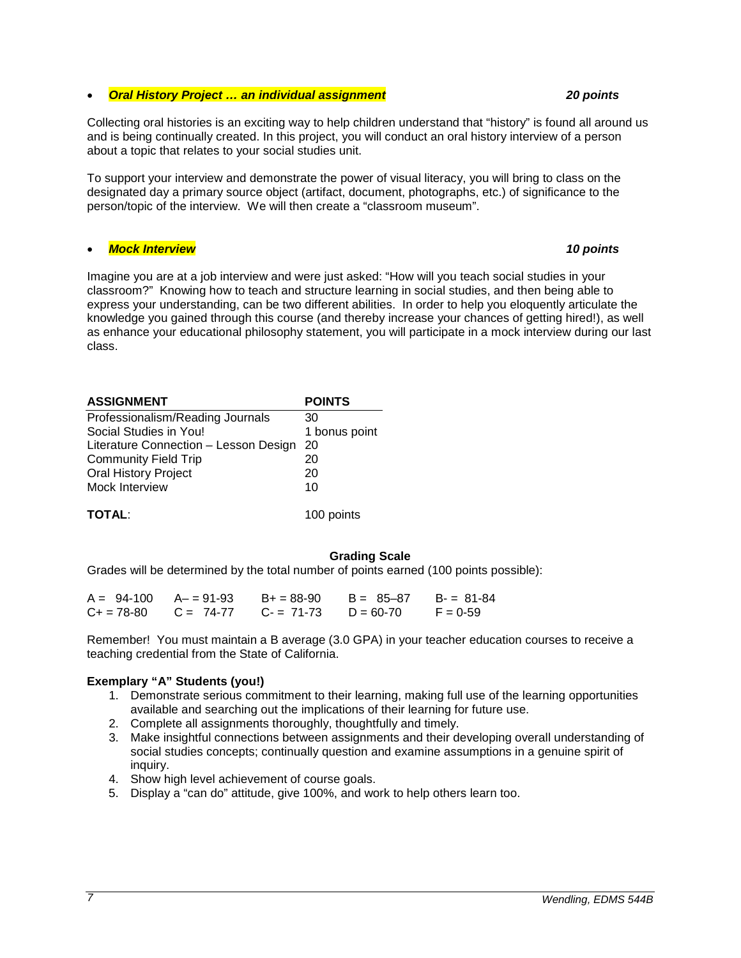# *7 Wendling, EDMS 544B*

# • *Oral History Project … an individual assignment 20 points*

Collecting oral histories is an exciting way to help children understand that "history" is found all around us and is being continually created. In this project, you will conduct an oral history interview of a person about a topic that relates to your social studies unit.

To support your interview and demonstrate the power of visual literacy, you will bring to class on the designated day a primary source object (artifact, document, photographs, etc.) of significance to the person/topic of the interview. We will then create a "classroom museum".

# • *Mock Interview 10 points*

Imagine you are at a job interview and were just asked: "How will you teach social studies in your classroom?" Knowing how to teach and structure learning in social studies, and then being able to express your understanding, can be two different abilities. In order to help you eloquently articulate the knowledge you gained through this course (and thereby increase your chances of getting hired!), as well as enhance your educational philosophy statement, you will participate in a mock interview during our last class.

| <b>ASSIGNMENT</b>                     | <b>POINTS</b> |
|---------------------------------------|---------------|
| Professionalism/Reading Journals      | 30            |
| Social Studies in You!                | 1 bonus point |
| Literature Connection - Lesson Design | 20            |
| <b>Community Field Trip</b>           | 20            |
| <b>Oral History Project</b>           | 20            |
| Mock Interview                        | 10            |
|                                       |               |
| <b>TOTAL:</b>                         | 100 points    |

# **Grading Scale**

Grades will be determined by the total number of points earned (100 points possible):

|  | $A = 94-100$ $A = 91-93$ $B = 88-90$                | $B = 85 - 87$ $B = 81 - 84$ |            |
|--|-----------------------------------------------------|-----------------------------|------------|
|  | $C_+ = 78-80$ $C = 74-77$ $C_- = 71-73$ $D = 60-70$ |                             | $F = 0.59$ |

Remember! You must maintain a B average (3.0 GPA) in your teacher education courses to receive a teaching credential from the State of California.

# **Exemplary "A" Students (you!)**

- 1. Demonstrate serious commitment to their learning, making full use of the learning opportunities available and searching out the implications of their learning for future use.
- 2. Complete all assignments thoroughly, thoughtfully and timely.
- 3. Make insightful connections between assignments and their developing overall understanding of social studies concepts; continually question and examine assumptions in a genuine spirit of inquiry.
- 4. Show high level achievement of course goals.
- 5. Display a "can do" attitude, give 100%, and work to help others learn too.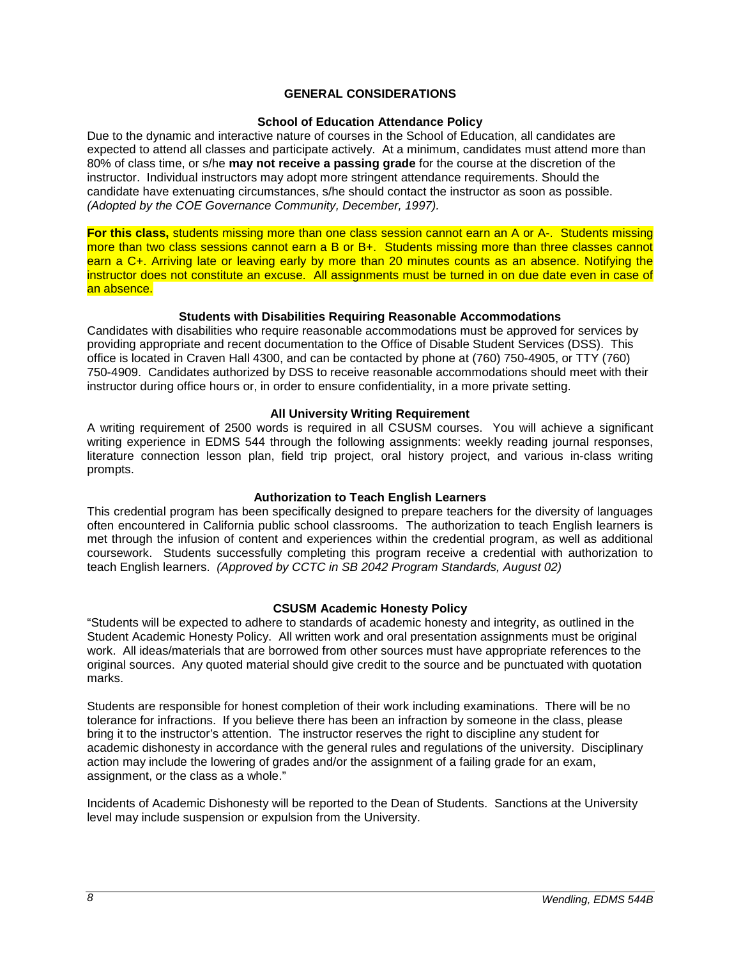# **GENERAL CONSIDERATIONS**

### **School of Education Attendance Policy**

Due to the dynamic and interactive nature of courses in the School of Education, all candidates are expected to attend all classes and participate actively. At a minimum, candidates must attend more than 80% of class time, or s/he **may not receive a passing grade** for the course at the discretion of the instructor. Individual instructors may adopt more stringent attendance requirements. Should the candidate have extenuating circumstances, s/he should contact the instructor as soon as possible. *(Adopted by the COE Governance Community, December, 1997).*

**For this class,** students missing more than one class session cannot earn an A or A-. Students missing more than two class sessions cannot earn a B or B+. Students missing more than three classes cannot earn a C+. Arriving late or leaving early by more than 20 minutes counts as an absence. Notifying the instructor does not constitute an excuse. All assignments must be turned in on due date even in case of an absence.

### **Students with Disabilities Requiring Reasonable Accommodations**

Candidates with disabilities who require reasonable accommodations must be approved for services by providing appropriate and recent documentation to the Office of Disable Student Services (DSS). This office is located in Craven Hall 4300, and can be contacted by phone at (760) 750-4905, or TTY (760) 750-4909. Candidates authorized by DSS to receive reasonable accommodations should meet with their instructor during office hours or, in order to ensure confidentiality, in a more private setting.

### **All University Writing Requirement**

A writing requirement of 2500 words is required in all CSUSM courses. You will achieve a significant writing experience in EDMS 544 through the following assignments: weekly reading journal responses, literature connection lesson plan, field trip project, oral history project, and various in-class writing prompts.

### **Authorization to Teach English Learners**

This credential program has been specifically designed to prepare teachers for the diversity of languages often encountered in California public school classrooms. The authorization to teach English learners is met through the infusion of content and experiences within the credential program, as well as additional coursework. Students successfully completing this program receive a credential with authorization to teach English learners. *(Approved by CCTC in SB 2042 Program Standards, August 02)*

### **CSUSM Academic Honesty Policy**

"Students will be expected to adhere to standards of academic honesty and integrity, as outlined in the Student Academic Honesty Policy. All written work and oral presentation assignments must be original work. All ideas/materials that are borrowed from other sources must have appropriate references to the original sources. Any quoted material should give credit to the source and be punctuated with quotation marks.

Students are responsible for honest completion of their work including examinations. There will be no tolerance for infractions. If you believe there has been an infraction by someone in the class, please bring it to the instructor's attention. The instructor reserves the right to discipline any student for academic dishonesty in accordance with the general rules and regulations of the university. Disciplinary action may include the lowering of grades and/or the assignment of a failing grade for an exam, assignment, or the class as a whole."

Incidents of Academic Dishonesty will be reported to the Dean of Students. Sanctions at the University level may include suspension or expulsion from the University.